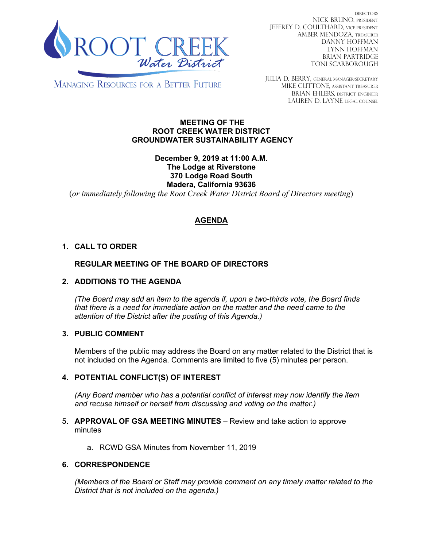

DIRECTORS NICK BRUNO, PRESIDENT JEFFREY D. COULTHARD, Vice President AMBER MENDOZA, TREASURER DANNY HOFFMAN LYNN HOFFMAN BRIAN PARTRIDGE TONI SCARBOROUGH

**MANAGING RESOURCES FOR A BETTER FUTURE** 

JULIA D. BERRY, GENERAL MANAGER/secretary MIKE CUTTONE, Assistant treasurer BRIAN EHLERS, DISTRICT ENGINEER LAUREN D. LAYNE, LEGAL COUNSEL

#### **MEETING OF THE ROOT CREEK WATER DISTRICT GROUNDWATER SUSTAINABILITY AGENCY**

# **December 9, 2019 at 11:00 A.M. The Lodge at Riverstone 370 Lodge Road South Madera, California 93636**

(*or immediately following the Root Creek Water District Board of Directors meeting*)

# **AGENDA**

# **1. CALL TO ORDER**

# **REGULAR MEETING OF THE BOARD OF DIRECTORS**

#### **2. ADDITIONS TO THE AGENDA**

*(The Board may add an item to the agenda if, upon a two-thirds vote, the Board finds that there is a need for immediate action on the matter and the need came to the attention of the District after the posting of this Agenda.)*

#### **3. PUBLIC COMMENT**

Members of the public may address the Board on any matter related to the District that is not included on the Agenda. Comments are limited to five (5) minutes per person.

#### **4. POTENTIAL CONFLICT(S) OF INTEREST**

*(Any Board member who has a potential conflict of interest may now identify the item and recuse himself or herself from discussing and voting on the matter.)*

#### 5. **APPROVAL OF GSA MEETING MINUTES** – Review and take action to approve minutes

a. RCWD GSA Minutes from November 11, 2019

#### **6. CORRESPONDENCE**

*(Members of the Board or Staff may provide comment on any timely matter related to the District that is not included on the agenda.)*